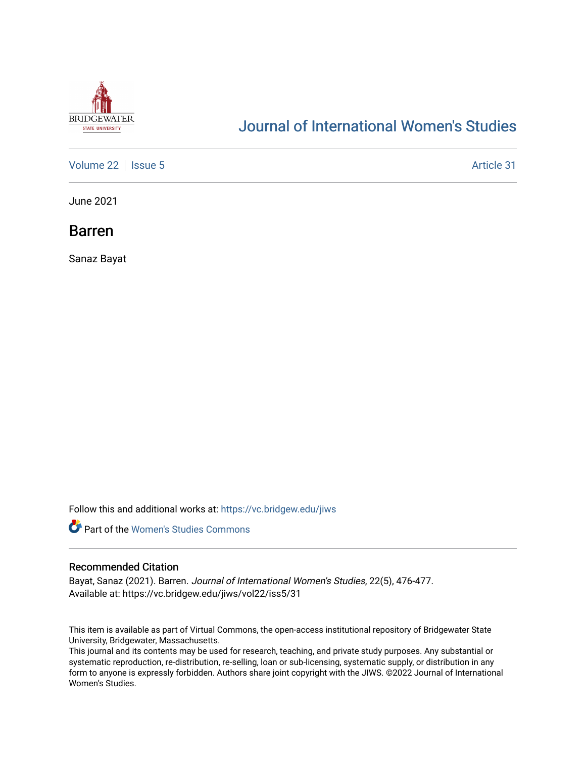

# [Journal of International Women's Studies](https://vc.bridgew.edu/jiws)

[Volume 22](https://vc.bridgew.edu/jiws/vol22) | [Issue 5](https://vc.bridgew.edu/jiws/vol22/iss5) Article 31

June 2021

Barren

Sanaz Bayat

Follow this and additional works at: [https://vc.bridgew.edu/jiws](https://vc.bridgew.edu/jiws?utm_source=vc.bridgew.edu%2Fjiws%2Fvol22%2Fiss5%2F31&utm_medium=PDF&utm_campaign=PDFCoverPages)



## Recommended Citation

Bayat, Sanaz (2021). Barren. Journal of International Women's Studies, 22(5), 476-477. Available at: https://vc.bridgew.edu/jiws/vol22/iss5/31

This item is available as part of Virtual Commons, the open-access institutional repository of Bridgewater State University, Bridgewater, Massachusetts.

This journal and its contents may be used for research, teaching, and private study purposes. Any substantial or systematic reproduction, re-distribution, re-selling, loan or sub-licensing, systematic supply, or distribution in any form to anyone is expressly forbidden. Authors share joint copyright with the JIWS. ©2022 Journal of International Women's Studies.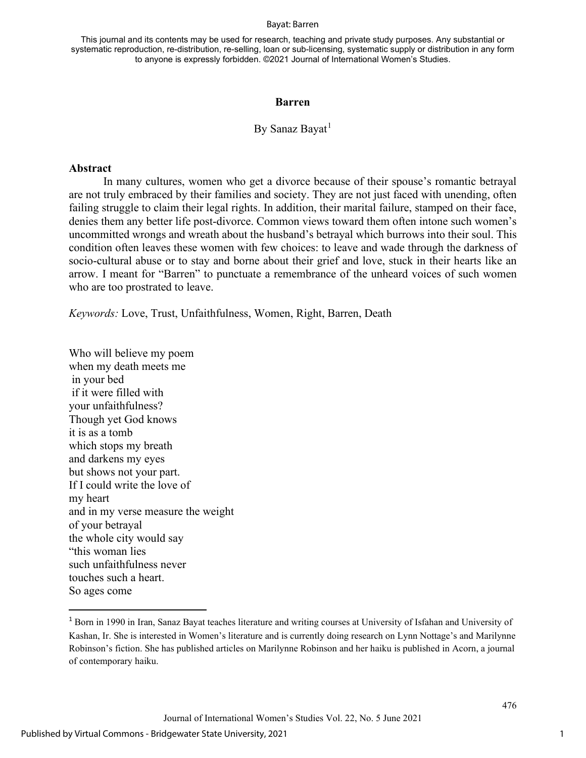#### Bayat: Barren

This journal and its contents may be used for research, teaching and private study purposes. Any substantial or systematic reproduction, re-distribution, re-selling, loan or sub-licensing, systematic supply or distribution in any form to anyone is expressly forbidden. ©2021 Journal of International Women's Studies.

### **Barren**

## By Sanaz Bayat<sup>[1](#page-1-0)</sup>

## **Abstract**

In many cultures, women who get a divorce because of their spouse's romantic betrayal are not truly embraced by their families and society. They are not just faced with unending, often failing struggle to claim their legal rights. In addition, their marital failure, stamped on their face, denies them any better life post-divorce. Common views toward them often intone such women's uncommitted wrongs and wreath about the husband's betrayal which burrows into their soul. This condition often leaves these women with few choices: to leave and wade through the darkness of socio-cultural abuse or to stay and borne about their grief and love, stuck in their hearts like an arrow. I meant for "Barren" to punctuate a remembrance of the unheard voices of such women who are too prostrated to leave.

*Keywords:* Love, Trust, Unfaithfulness, Women, Right, Barren, Death

Who will believe my poem when my death meets me in your bed if it were filled with your unfaithfulness? Though yet God knows it is as a tomb which stops my breath and darkens my eyes but shows not your part. If I could write the love of my heart and in my verse measure the weight of your betrayal the whole city would say "this woman lies such unfaithfulness never touches such a heart. So ages come

1

<span id="page-1-0"></span><sup>1</sup> Born in 1990 in Iran, Sanaz Bayat teaches literature and writing courses at University of Isfahan and University of Kashan, Ir. She is interested in Women's literature and is currently doing research on Lynn Nottage's and Marilynne Robinson's fiction. She has published articles on Marilynne Robinson and her haiku is published in Acorn, a journal of contemporary haiku.